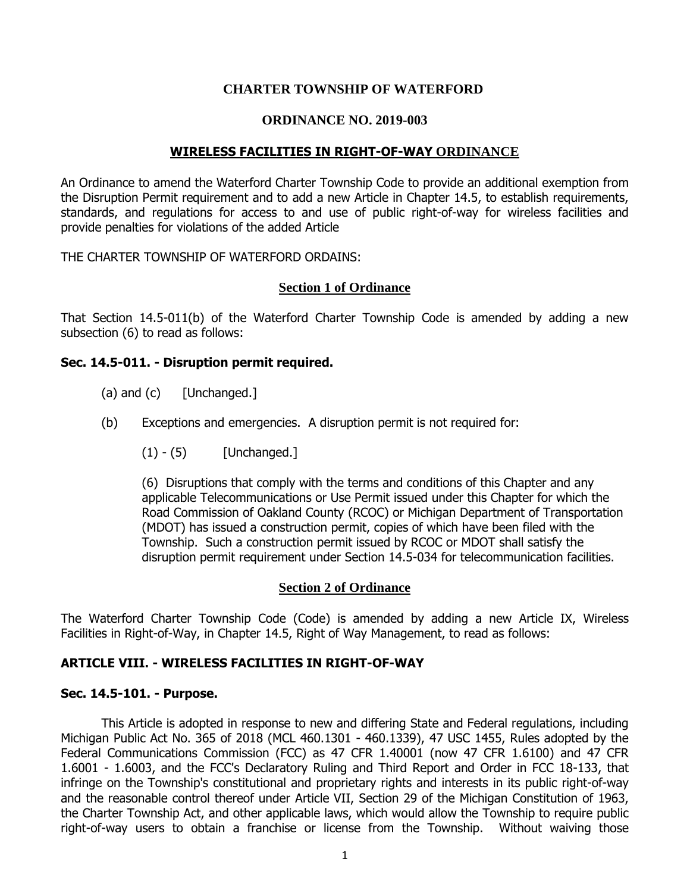### **CHARTER TOWNSHIP OF WATERFORD**

### **ORDINANCE NO. 2019-003**

### **WIRELESS FACILITIES IN RIGHT-OF-WAY ORDINANCE**

An Ordinance to amend the Waterford Charter Township Code to provide an additional exemption from the Disruption Permit requirement and to add a new Article in Chapter 14.5, to establish requirements, standards, and regulations for access to and use of public right-of-way for wireless facilities and provide penalties for violations of the added Article

THE CHARTER TOWNSHIP OF WATERFORD ORDAINS:

### **Section 1 of Ordinance**

That Section 14.5-011(b) of the Waterford Charter Township Code is amended by adding a new subsection (6) to read as follows:

### **Sec. 14.5-011. - Disruption permit required.**

- (a) and  $(c)$  [Unchanged.]
- (b) Exceptions and emergencies. A disruption permit is not required for:
	- $(1) (5)$  [Unchanged.]

(6) Disruptions that comply with the terms and conditions of this Chapter and any applicable Telecommunications or Use Permit issued under this Chapter for which the Road Commission of Oakland County (RCOC) or Michigan Department of Transportation (MDOT) has issued a construction permit, copies of which have been filed with the Township. Such a construction permit issued by RCOC or MDOT shall satisfy the disruption permit requirement under Section 14.5-034 for telecommunication facilities.

#### **Section 2 of Ordinance**

The Waterford Charter Township Code (Code) is amended by adding a new Article IX, Wireless Facilities in Right-of-Way, in Chapter 14.5, Right of Way Management, to read as follows:

### **ARTICLE VIII. - WIRELESS FACILITIES IN RIGHT-OF-WAY**

### **Sec. 14.5-101. - Purpose.**

This Article is adopted in response to new and differing State and Federal regulations, including Michigan Public Act No. 365 of 2018 (MCL 460.1301 - 460.1339), 47 USC 1455, Rules adopted by the Federal Communications Commission (FCC) as 47 CFR 1.40001 (now 47 CFR 1.6100) and 47 CFR 1.6001 - 1.6003, and the FCC's Declaratory Ruling and Third Report and Order in FCC 18-133, that infringe on the Township's constitutional and proprietary rights and interests in its public right-of-way and the reasonable control thereof under Article VII, Section 29 of the Michigan Constitution of 1963, the Charter Township Act, and other applicable laws, which would allow the Township to require public right-of-way users to obtain a franchise or license from the Township. Without waiving those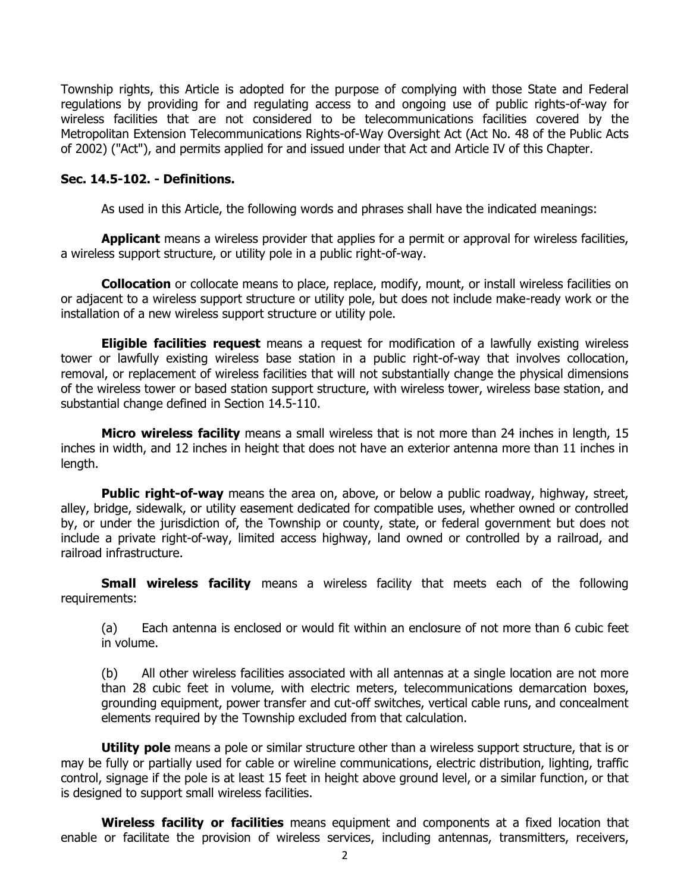Township rights, this Article is adopted for the purpose of complying with those State and Federal regulations by providing for and regulating access to and ongoing use of public rights-of-way for wireless facilities that are not considered to be telecommunications facilities covered by the Metropolitan Extension Telecommunications Rights-of-Way Oversight Act (Act No. 48 of the Public Acts of 2002) ("Act"), and permits applied for and issued under that Act and Article IV of this Chapter.

#### **Sec. 14.5-102. - Definitions.**

As used in this Article, the following words and phrases shall have the indicated meanings:

**Applicant** means a wireless provider that applies for a permit or approval for wireless facilities, a wireless support structure, or utility pole in a public right-of-way.

**Collocation** or collocate means to place, replace, modify, mount, or install wireless facilities on or adjacent to a wireless support structure or utility pole, but does not include make-ready work or the installation of a new wireless support structure or utility pole.

**Eligible facilities request** means a request for modification of a lawfully existing wireless tower or lawfully existing wireless base station in a public right-of-way that involves collocation, removal, or replacement of wireless facilities that will not substantially change the physical dimensions of the wireless tower or based station support structure, with wireless tower, wireless base station, and substantial change defined in Section 14.5-110.

**Micro wireless facility** means a small wireless that is not more than 24 inches in length, 15 inches in width, and 12 inches in height that does not have an exterior antenna more than 11 inches in length.

**Public right-of-way** means the area on, above, or below a public roadway, highway, street, alley, bridge, sidewalk, or utility easement dedicated for compatible uses, whether owned or controlled by, or under the jurisdiction of, the Township or county, state, or federal government but does not include a private right-of-way, limited access highway, land owned or controlled by a railroad, and railroad infrastructure.

**Small wireless facility** means a wireless facility that meets each of the following requirements:

(a) Each antenna is enclosed or would fit within an enclosure of not more than 6 cubic feet in volume.

(b) All other wireless facilities associated with all antennas at a single location are not more than 28 cubic feet in volume, with electric meters, telecommunications demarcation boxes, grounding equipment, power transfer and cut-off switches, vertical cable runs, and concealment elements required by the Township excluded from that calculation.

**Utility pole** means a pole or similar structure other than a wireless support structure, that is or may be fully or partially used for cable or wireline communications, electric distribution, lighting, traffic control, signage if the pole is at least 15 feet in height above ground level, or a similar function, or that is designed to support small wireless facilities.

**Wireless facility or facilities** means equipment and components at a fixed location that enable or facilitate the provision of wireless services, including antennas, transmitters, receivers,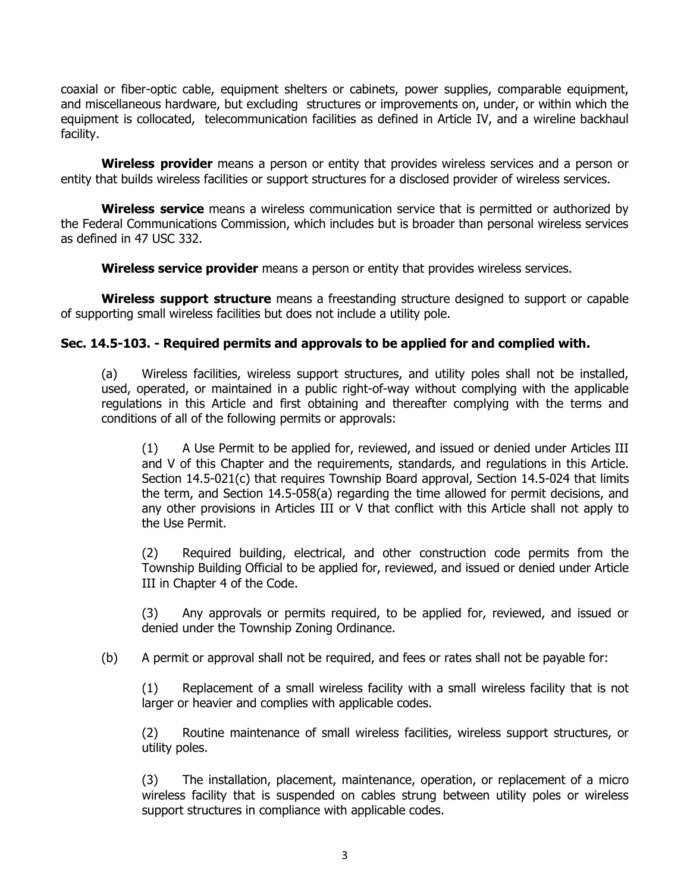coaxial or fiber-optic cable, equipment shelters or cabinets, power supplies, comparable equipment, and miscellaneous hardware, but excluding structures or improvements on, under, or within which the equipment is collocated, telecommunication facilities as defined in Article IV, and a wireline backhaul facility.

**Wireless provider** means a person or entity that provides wireless services and a person or entity that builds wireless facilities or support structures for a disclosed provider of wireless services.

**Wireless service** means a wireless communication service that is permitted or authorized by the Federal Communications Commission, which includes but is broader than personal wireless services as defined in 47 USC 332.

**Wireless service provider** means a person or entity that provides wireless services.

**Wireless support structure** means a freestanding structure designed to support or capable of supporting small wireless facilities but does not include a utility pole.

### **Sec. 14.5-103. - Required permits and approvals to be applied for and complied with.**

(a) Wireless facilities, wireless support structures, and utility poles shall not be installed, used, operated, or maintained in a public right-of-way without complying with the applicable regulations in this Article and first obtaining and thereafter complying with the terms and conditions of all of the following permits or approvals:

(1) A Use Permit to be applied for, reviewed, and issued or denied under Articles III and V of this Chapter and the requirements, standards, and regulations in this Article. Section 14.5-021(c) that requires Township Board approval, Section 14.5-024 that limits the term, and Section 14.5-058(a) regarding the time allowed for permit decisions, and any other provisions in Articles III or V that conflict with this Article shall not apply to the Use Permit.

(2) Required building, electrical, and other construction code permits from the Township Building Official to be applied for, reviewed, and issued or denied under Article III in Chapter 4 of the Code.

(3) Any approvals or permits required, to be applied for, reviewed, and issued or denied under the Township Zoning Ordinance.

(b) A permit or approval shall not be required, and fees or rates shall not be payable for:

(1) Replacement of a small wireless facility with a small wireless facility that is not larger or heavier and complies with applicable codes.

(2) Routine maintenance of small wireless facilities, wireless support structures, or utility poles.

(3) The installation, placement, maintenance, operation, or replacement of a micro wireless facility that is suspended on cables strung between utility poles or wireless support structures in compliance with applicable codes.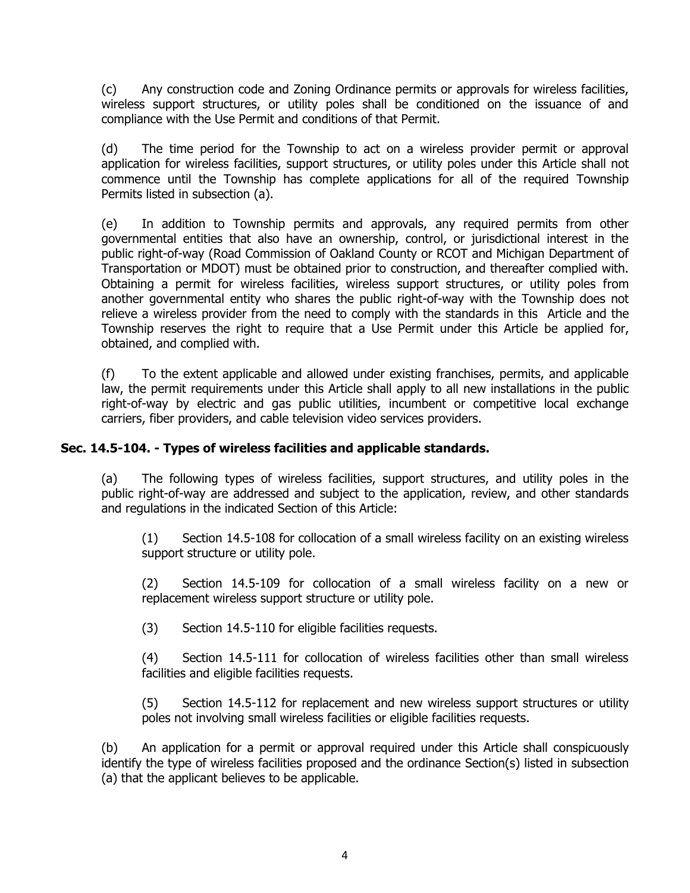(c) Any construction code and Zoning Ordinance permits or approvals for wireless facilities, wireless support structures, or utility poles shall be conditioned on the issuance of and compliance with the Use Permit and conditions of that Permit.

(d) The time period for the Township to act on a wireless provider permit or approval application for wireless facilities, support structures, or utility poles under this Article shall not commence until the Township has complete applications for all of the required Township Permits listed in subsection (a).

(e) In addition to Township permits and approvals, any required permits from other governmental entities that also have an ownership, control, or jurisdictional interest in the public right-of-way (Road Commission of Oakland County or RCOT and Michigan Department of Transportation or MDOT) must be obtained prior to construction, and thereafter complied with. Obtaining a permit for wireless facilities, wireless support structures, or utility poles from another governmental entity who shares the public right-of-way with the Township does not relieve a wireless provider from the need to comply with the standards in this Article and the Township reserves the right to require that a Use Permit under this Article be applied for, obtained, and complied with.

(f) To the extent applicable and allowed under existing franchises, permits, and applicable law, the permit requirements under this Article shall apply to all new installations in the public right-of-way by electric and gas public utilities, incumbent or competitive local exchange carriers, fiber providers, and cable television video services providers.

## **Sec. 14.5-104. - Types of wireless facilities and applicable standards.**

(a) The following types of wireless facilities, support structures, and utility poles in the public right-of-way are addressed and subject to the application, review, and other standards and regulations in the indicated Section of this Article:

(1) Section 14.5-108 for collocation of a small wireless facility on an existing wireless support structure or utility pole.

(2) Section 14.5-109 for collocation of a small wireless facility on a new or replacement wireless support structure or utility pole.

(3) Section 14.5-110 for eligible facilities requests.

(4) Section 14.5-111 for collocation of wireless facilities other than small wireless facilities and eligible facilities requests.

(5) Section 14.5-112 for replacement and new wireless support structures or utility poles not involving small wireless facilities or eligible facilities requests.

(b) An application for a permit or approval required under this Article shall conspicuously identify the type of wireless facilities proposed and the ordinance Section(s) listed in subsection (a) that the applicant believes to be applicable.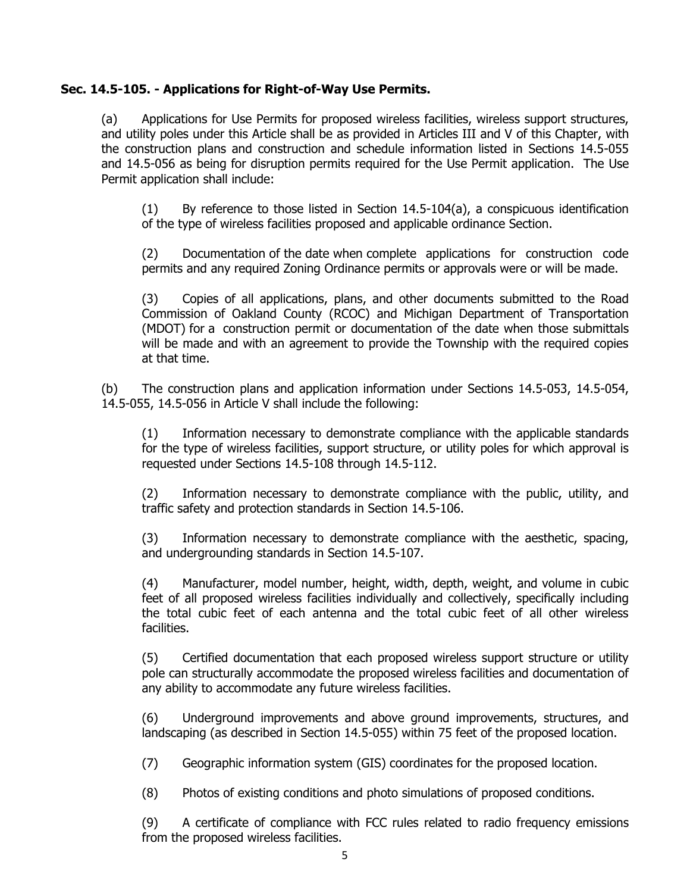## **Sec. 14.5-105. - Applications for Right-of-Way Use Permits.**

(a) Applications for Use Permits for proposed wireless facilities, wireless support structures, and utility poles under this Article shall be as provided in Articles III and V of this Chapter, with the construction plans and construction and schedule information listed in Sections 14.5-055 and 14.5-056 as being for disruption permits required for the Use Permit application. The Use Permit application shall include:

(1) By reference to those listed in Section 14.5-104(a), a conspicuous identification of the type of wireless facilities proposed and applicable ordinance Section.

(2) Documentation of the date when complete applications for construction code permits and any required Zoning Ordinance permits or approvals were or will be made.

(3) Copies of all applications, plans, and other documents submitted to the Road Commission of Oakland County (RCOC) and Michigan Department of Transportation (MDOT) for a construction permit or documentation of the date when those submittals will be made and with an agreement to provide the Township with the required copies at that time.

(b) The construction plans and application information under Sections 14.5-053, 14.5-054, 14.5-055, 14.5-056 in Article V shall include the following:

(1) Information necessary to demonstrate compliance with the applicable standards for the type of wireless facilities, support structure, or utility poles for which approval is requested under Sections 14.5-108 through 14.5-112.

(2) Information necessary to demonstrate compliance with the public, utility, and traffic safety and protection standards in Section 14.5-106.

(3) Information necessary to demonstrate compliance with the aesthetic, spacing, and undergrounding standards in Section 14.5-107.

(4) Manufacturer, model number, height, width, depth, weight, and volume in cubic feet of all proposed wireless facilities individually and collectively, specifically including the total cubic feet of each antenna and the total cubic feet of all other wireless facilities.

(5) Certified documentation that each proposed wireless support structure or utility pole can structurally accommodate the proposed wireless facilities and documentation of any ability to accommodate any future wireless facilities.

(6) Underground improvements and above ground improvements, structures, and landscaping (as described in Section 14.5-055) within 75 feet of the proposed location.

(7) Geographic information system (GIS) coordinates for the proposed location.

(8) Photos of existing conditions and photo simulations of proposed conditions.

(9) A certificate of compliance with FCC rules related to radio frequency emissions from the proposed wireless facilities.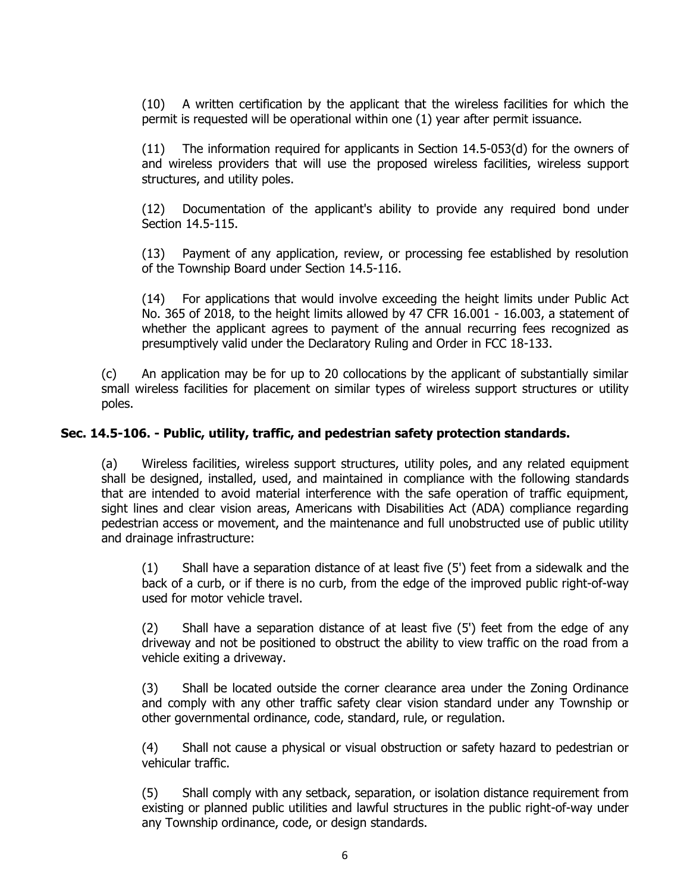(10) A written certification by the applicant that the wireless facilities for which the permit is requested will be operational within one (1) year after permit issuance.

(11) The information required for applicants in Section 14.5-053(d) for the owners of and wireless providers that will use the proposed wireless facilities, wireless support structures, and utility poles.

(12) Documentation of the applicant's ability to provide any required bond under Section 14.5-115.

(13) Payment of any application, review, or processing fee established by resolution of the Township Board under Section 14.5-116.

(14) For applications that would involve exceeding the height limits under Public Act No. 365 of 2018, to the height limits allowed by 47 CFR 16.001 - 16.003, a statement of whether the applicant agrees to payment of the annual recurring fees recognized as presumptively valid under the Declaratory Ruling and Order in FCC 18-133.

(c) An application may be for up to 20 collocations by the applicant of substantially similar small wireless facilities for placement on similar types of wireless support structures or utility poles.

# **Sec. 14.5-106. - Public, utility, traffic, and pedestrian safety protection standards.**

(a) Wireless facilities, wireless support structures, utility poles, and any related equipment shall be designed, installed, used, and maintained in compliance with the following standards that are intended to avoid material interference with the safe operation of traffic equipment, sight lines and clear vision areas, Americans with Disabilities Act (ADA) compliance regarding pedestrian access or movement, and the maintenance and full unobstructed use of public utility and drainage infrastructure:

(1) Shall have a separation distance of at least five (5') feet from a sidewalk and the back of a curb, or if there is no curb, from the edge of the improved public right-of-way used for motor vehicle travel.

(2) Shall have a separation distance of at least five (5') feet from the edge of any driveway and not be positioned to obstruct the ability to view traffic on the road from a vehicle exiting a driveway.

(3) Shall be located outside the corner clearance area under the Zoning Ordinance and comply with any other traffic safety clear vision standard under any Township or other governmental ordinance, code, standard, rule, or regulation.

(4) Shall not cause a physical or visual obstruction or safety hazard to pedestrian or vehicular traffic.

(5) Shall comply with any setback, separation, or isolation distance requirement from existing or planned public utilities and lawful structures in the public right-of-way under any Township ordinance, code, or design standards.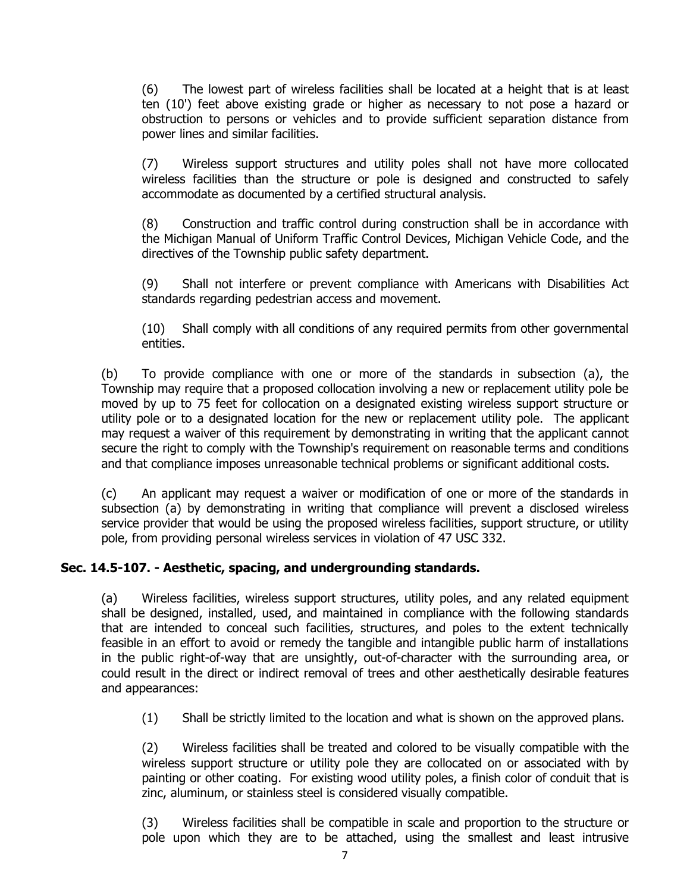(6) The lowest part of wireless facilities shall be located at a height that is at least ten (10') feet above existing grade or higher as necessary to not pose a hazard or obstruction to persons or vehicles and to provide sufficient separation distance from power lines and similar facilities.

(7) Wireless support structures and utility poles shall not have more collocated wireless facilities than the structure or pole is designed and constructed to safely accommodate as documented by a certified structural analysis.

(8) Construction and traffic control during construction shall be in accordance with the Michigan Manual of Uniform Traffic Control Devices, Michigan Vehicle Code, and the directives of the Township public safety department.

(9) Shall not interfere or prevent compliance with Americans with Disabilities Act standards regarding pedestrian access and movement.

(10) Shall comply with all conditions of any required permits from other governmental entities.

(b) To provide compliance with one or more of the standards in subsection (a), the Township may require that a proposed collocation involving a new or replacement utility pole be moved by up to 75 feet for collocation on a designated existing wireless support structure or utility pole or to a designated location for the new or replacement utility pole. The applicant may request a waiver of this requirement by demonstrating in writing that the applicant cannot secure the right to comply with the Township's requirement on reasonable terms and conditions and that compliance imposes unreasonable technical problems or significant additional costs.

(c) An applicant may request a waiver or modification of one or more of the standards in subsection (a) by demonstrating in writing that compliance will prevent a disclosed wireless service provider that would be using the proposed wireless facilities, support structure, or utility pole, from providing personal wireless services in violation of 47 USC 332.

# **Sec. 14.5-107. - Aesthetic, spacing, and undergrounding standards.**

(a) Wireless facilities, wireless support structures, utility poles, and any related equipment shall be designed, installed, used, and maintained in compliance with the following standards that are intended to conceal such facilities, structures, and poles to the extent technically feasible in an effort to avoid or remedy the tangible and intangible public harm of installations in the public right-of-way that are unsightly, out-of-character with the surrounding area, or could result in the direct or indirect removal of trees and other aesthetically desirable features and appearances:

(1) Shall be strictly limited to the location and what is shown on the approved plans.

(2) Wireless facilities shall be treated and colored to be visually compatible with the wireless support structure or utility pole they are collocated on or associated with by painting or other coating. For existing wood utility poles, a finish color of conduit that is zinc, aluminum, or stainless steel is considered visually compatible.

(3) Wireless facilities shall be compatible in scale and proportion to the structure or pole upon which they are to be attached, using the smallest and least intrusive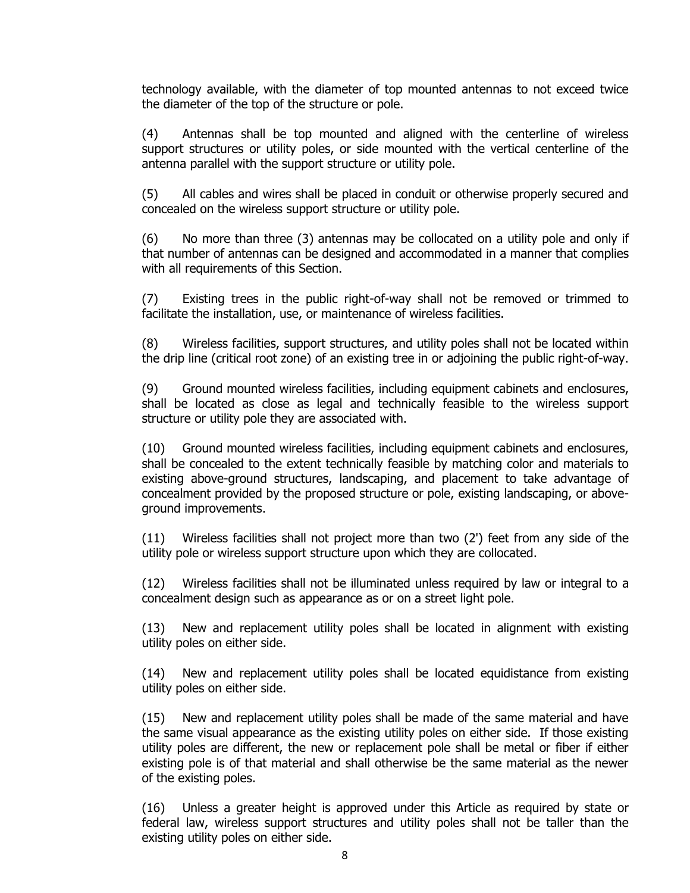technology available, with the diameter of top mounted antennas to not exceed twice the diameter of the top of the structure or pole.

(4) Antennas shall be top mounted and aligned with the centerline of wireless support structures or utility poles, or side mounted with the vertical centerline of the antenna parallel with the support structure or utility pole.

(5) All cables and wires shall be placed in conduit or otherwise properly secured and concealed on the wireless support structure or utility pole.

(6) No more than three (3) antennas may be collocated on a utility pole and only if that number of antennas can be designed and accommodated in a manner that complies with all requirements of this Section.

(7) Existing trees in the public right-of-way shall not be removed or trimmed to facilitate the installation, use, or maintenance of wireless facilities.

(8) Wireless facilities, support structures, and utility poles shall not be located within the drip line (critical root zone) of an existing tree in or adjoining the public right-of-way.

(9) Ground mounted wireless facilities, including equipment cabinets and enclosures, shall be located as close as legal and technically feasible to the wireless support structure or utility pole they are associated with.

(10) Ground mounted wireless facilities, including equipment cabinets and enclosures, shall be concealed to the extent technically feasible by matching color and materials to existing above-ground structures, landscaping, and placement to take advantage of concealment provided by the proposed structure or pole, existing landscaping, or aboveground improvements.

(11) Wireless facilities shall not project more than two (2') feet from any side of the utility pole or wireless support structure upon which they are collocated.

(12) Wireless facilities shall not be illuminated unless required by law or integral to a concealment design such as appearance as or on a street light pole.

(13) New and replacement utility poles shall be located in alignment with existing utility poles on either side.

(14) New and replacement utility poles shall be located equidistance from existing utility poles on either side.

(15) New and replacement utility poles shall be made of the same material and have the same visual appearance as the existing utility poles on either side. If those existing utility poles are different, the new or replacement pole shall be metal or fiber if either existing pole is of that material and shall otherwise be the same material as the newer of the existing poles.

(16) Unless a greater height is approved under this Article as required by state or federal law, wireless support structures and utility poles shall not be taller than the existing utility poles on either side.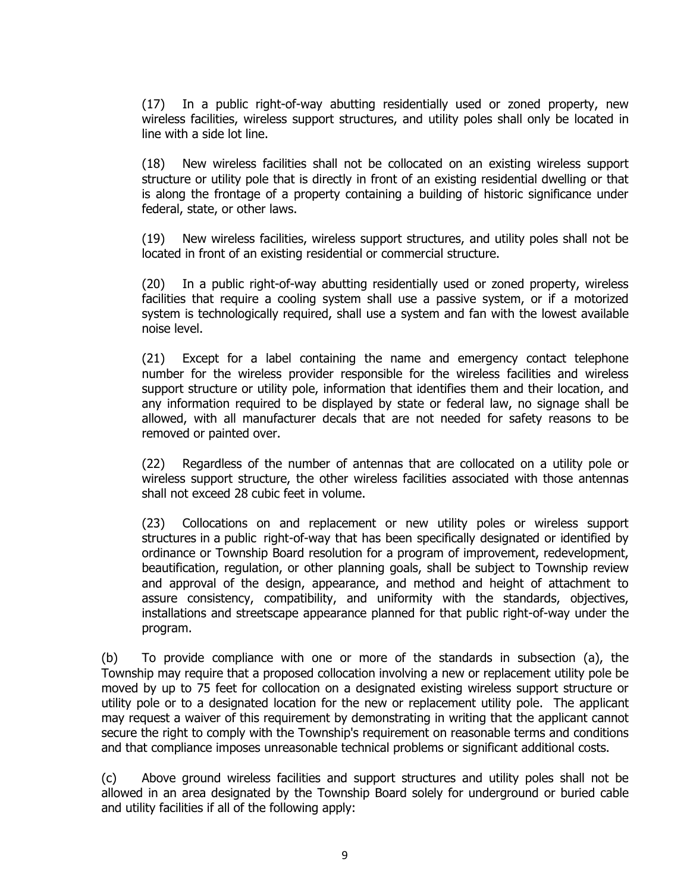(17) In a public right-of-way abutting residentially used or zoned property, new wireless facilities, wireless support structures, and utility poles shall only be located in line with a side lot line.

(18) New wireless facilities shall not be collocated on an existing wireless support structure or utility pole that is directly in front of an existing residential dwelling or that is along the frontage of a property containing a building of historic significance under federal, state, or other laws.

(19) New wireless facilities, wireless support structures, and utility poles shall not be located in front of an existing residential or commercial structure.

(20) In a public right-of-way abutting residentially used or zoned property, wireless facilities that require a cooling system shall use a passive system, or if a motorized system is technologically required, shall use a system and fan with the lowest available noise level.

(21) Except for a label containing the name and emergency contact telephone number for the wireless provider responsible for the wireless facilities and wireless support structure or utility pole, information that identifies them and their location, and any information required to be displayed by state or federal law, no signage shall be allowed, with all manufacturer decals that are not needed for safety reasons to be removed or painted over.

(22) Regardless of the number of antennas that are collocated on a utility pole or wireless support structure, the other wireless facilities associated with those antennas shall not exceed 28 cubic feet in volume.

(23) Collocations on and replacement or new utility poles or wireless support structures in a public right-of-way that has been specifically designated or identified by ordinance or Township Board resolution for a program of improvement, redevelopment, beautification, regulation, or other planning goals, shall be subject to Township review and approval of the design, appearance, and method and height of attachment to assure consistency, compatibility, and uniformity with the standards, objectives, installations and streetscape appearance planned for that public right-of-way under the program.

(b) To provide compliance with one or more of the standards in subsection (a), the Township may require that a proposed collocation involving a new or replacement utility pole be moved by up to 75 feet for collocation on a designated existing wireless support structure or utility pole or to a designated location for the new or replacement utility pole. The applicant may request a waiver of this requirement by demonstrating in writing that the applicant cannot secure the right to comply with the Township's requirement on reasonable terms and conditions and that compliance imposes unreasonable technical problems or significant additional costs.

(c) Above ground wireless facilities and support structures and utility poles shall not be allowed in an area designated by the Township Board solely for underground or buried cable and utility facilities if all of the following apply: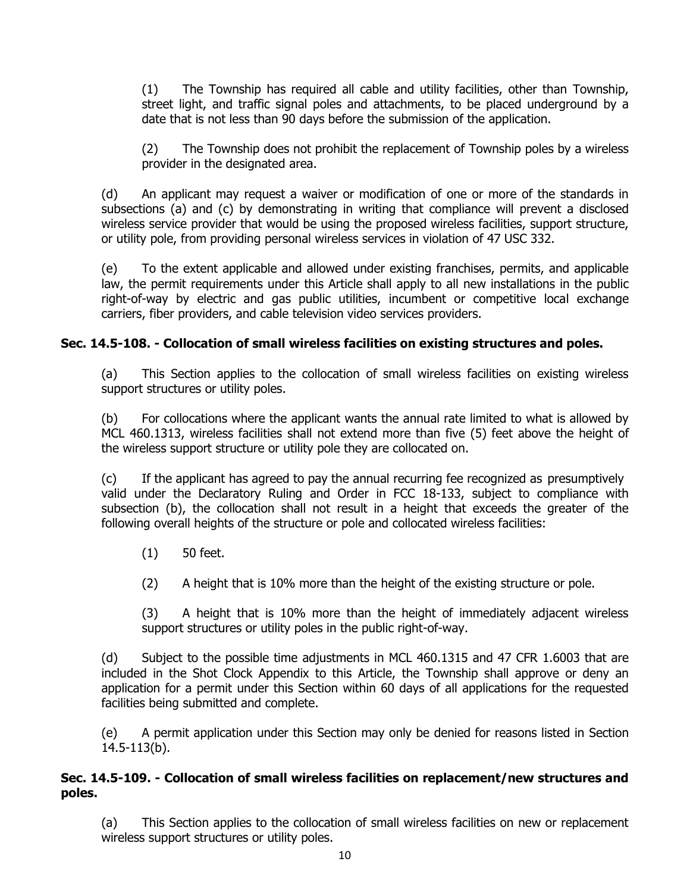(1) The Township has required all cable and utility facilities, other than Township, street light, and traffic signal poles and attachments, to be placed underground by a date that is not less than 90 days before the submission of the application.

(2) The Township does not prohibit the replacement of Township poles by a wireless provider in the designated area.

(d) An applicant may request a waiver or modification of one or more of the standards in subsections (a) and (c) by demonstrating in writing that compliance will prevent a disclosed wireless service provider that would be using the proposed wireless facilities, support structure, or utility pole, from providing personal wireless services in violation of 47 USC 332.

(e) To the extent applicable and allowed under existing franchises, permits, and applicable law, the permit requirements under this Article shall apply to all new installations in the public right-of-way by electric and gas public utilities, incumbent or competitive local exchange carriers, fiber providers, and cable television video services providers.

# **Sec. 14.5-108. - Collocation of small wireless facilities on existing structures and poles.**

(a) This Section applies to the collocation of small wireless facilities on existing wireless support structures or utility poles.

(b) For collocations where the applicant wants the annual rate limited to what is allowed by MCL 460.1313, wireless facilities shall not extend more than five (5) feet above the height of the wireless support structure or utility pole they are collocated on.

(c) If the applicant has agreed to pay the annual recurring fee recognized as presumptively valid under the Declaratory Ruling and Order in FCC 18-133, subject to compliance with subsection (b), the collocation shall not result in a height that exceeds the greater of the following overall heights of the structure or pole and collocated wireless facilities:

- (1) 50 feet.
- (2) A height that is 10% more than the height of the existing structure or pole.

(3) A height that is 10% more than the height of immediately adjacent wireless support structures or utility poles in the public right-of-way.

(d) Subject to the possible time adjustments in MCL 460.1315 and 47 CFR 1.6003 that are included in the Shot Clock Appendix to this Article, the Township shall approve or deny an application for a permit under this Section within 60 days of all applications for the requested facilities being submitted and complete.

(e) A permit application under this Section may only be denied for reasons listed in Section 14.5-113(b).

## **Sec. 14.5-109. - Collocation of small wireless facilities on replacement/new structures and poles.**

(a) This Section applies to the collocation of small wireless facilities on new or replacement wireless support structures or utility poles.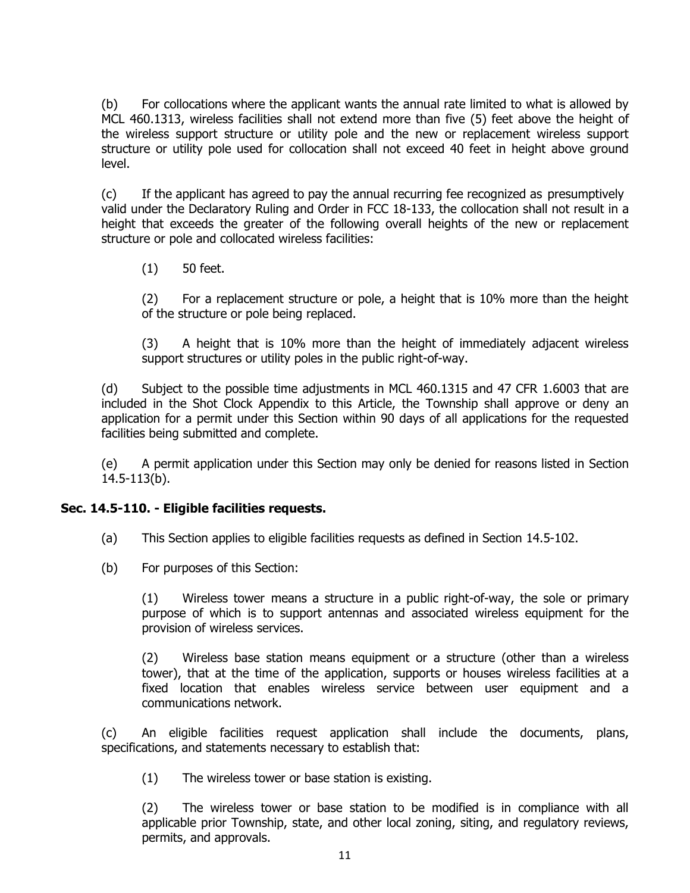(b) For collocations where the applicant wants the annual rate limited to what is allowed by MCL 460.1313, wireless facilities shall not extend more than five (5) feet above the height of the wireless support structure or utility pole and the new or replacement wireless support structure or utility pole used for collocation shall not exceed 40 feet in height above ground level.

(c) If the applicant has agreed to pay the annual recurring fee recognized as presumptively valid under the Declaratory Ruling and Order in FCC 18-133, the collocation shall not result in a height that exceeds the greater of the following overall heights of the new or replacement structure or pole and collocated wireless facilities:

(1) 50 feet.

(2) For a replacement structure or pole, a height that is 10% more than the height of the structure or pole being replaced.

(3) A height that is 10% more than the height of immediately adjacent wireless support structures or utility poles in the public right-of-way.

(d) Subject to the possible time adjustments in MCL 460.1315 and 47 CFR 1.6003 that are included in the Shot Clock Appendix to this Article, the Township shall approve or deny an application for a permit under this Section within 90 days of all applications for the requested facilities being submitted and complete.

(e) A permit application under this Section may only be denied for reasons listed in Section 14.5-113(b).

### **Sec. 14.5-110. - Eligible facilities requests.**

(a) This Section applies to eligible facilities requests as defined in Section 14.5-102.

(b) For purposes of this Section:

(1) Wireless tower means a structure in a public right-of-way, the sole or primary purpose of which is to support antennas and associated wireless equipment for the provision of wireless services.

(2) Wireless base station means equipment or a structure (other than a wireless tower), that at the time of the application, supports or houses wireless facilities at a fixed location that enables wireless service between user equipment and a communications network.

(c) An eligible facilities request application shall include the documents, plans, specifications, and statements necessary to establish that:

(1) The wireless tower or base station is existing.

(2) The wireless tower or base station to be modified is in compliance with all applicable prior Township, state, and other local zoning, siting, and regulatory reviews, permits, and approvals.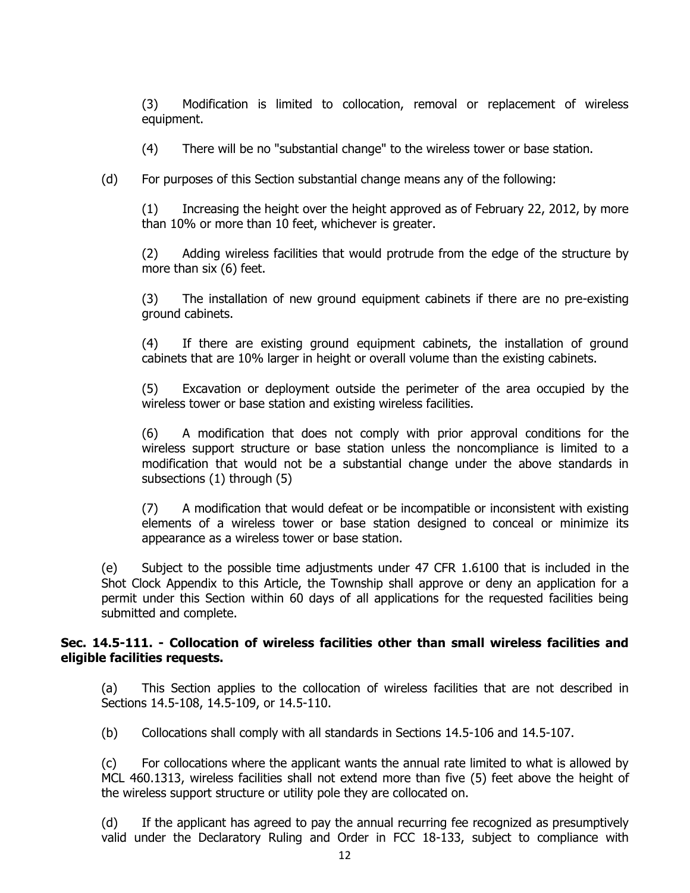(3) Modification is limited to collocation, removal or replacement of wireless equipment.

(4) There will be no "substantial change" to the wireless tower or base station.

(d) For purposes of this Section substantial change means any of the following:

(1) Increasing the height over the height approved as of February 22, 2012, by more than 10% or more than 10 feet, whichever is greater.

(2) Adding wireless facilities that would protrude from the edge of the structure by more than six (6) feet.

(3) The installation of new ground equipment cabinets if there are no pre-existing ground cabinets.

(4) If there are existing ground equipment cabinets, the installation of ground cabinets that are 10% larger in height or overall volume than the existing cabinets.

(5) Excavation or deployment outside the perimeter of the area occupied by the wireless tower or base station and existing wireless facilities.

(6) A modification that does not comply with prior approval conditions for the wireless support structure or base station unless the noncompliance is limited to a modification that would not be a substantial change under the above standards in subsections (1) through (5)

(7) A modification that would defeat or be incompatible or inconsistent with existing elements of a wireless tower or base station designed to conceal or minimize its appearance as a wireless tower or base station.

(e) Subject to the possible time adjustments under 47 CFR 1.6100 that is included in the Shot Clock Appendix to this Article, the Township shall approve or deny an application for a permit under this Section within 60 days of all applications for the requested facilities being submitted and complete.

### **Sec. 14.5-111. - Collocation of wireless facilities other than small wireless facilities and eligible facilities requests.**

(a) This Section applies to the collocation of wireless facilities that are not described in Sections 14.5-108, 14.5-109, or 14.5-110.

(b) Collocations shall comply with all standards in Sections 14.5-106 and 14.5-107.

(c) For collocations where the applicant wants the annual rate limited to what is allowed by MCL 460.1313, wireless facilities shall not extend more than five (5) feet above the height of the wireless support structure or utility pole they are collocated on.

(d) If the applicant has agreed to pay the annual recurring fee recognized as presumptively valid under the Declaratory Ruling and Order in FCC 18-133, subject to compliance with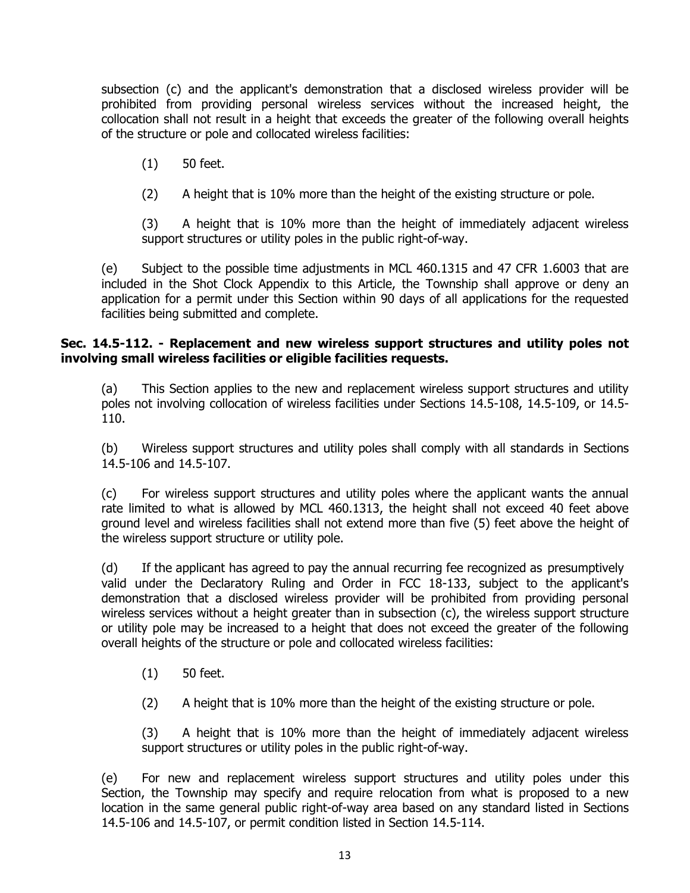subsection (c) and the applicant's demonstration that a disclosed wireless provider will be prohibited from providing personal wireless services without the increased height, the collocation shall not result in a height that exceeds the greater of the following overall heights of the structure or pole and collocated wireless facilities:

(1) 50 feet.

(2) A height that is 10% more than the height of the existing structure or pole.

(3) A height that is 10% more than the height of immediately adjacent wireless support structures or utility poles in the public right-of-way.

(e) Subject to the possible time adjustments in MCL 460.1315 and 47 CFR 1.6003 that are included in the Shot Clock Appendix to this Article, the Township shall approve or deny an application for a permit under this Section within 90 days of all applications for the requested facilities being submitted and complete.

## **Sec. 14.5-112. - Replacement and new wireless support structures and utility poles not involving small wireless facilities or eligible facilities requests.**

(a) This Section applies to the new and replacement wireless support structures and utility poles not involving collocation of wireless facilities under Sections 14.5-108, 14.5-109, or 14.5- 110.

(b) Wireless support structures and utility poles shall comply with all standards in Sections 14.5-106 and 14.5-107.

(c) For wireless support structures and utility poles where the applicant wants the annual rate limited to what is allowed by MCL 460.1313, the height shall not exceed 40 feet above ground level and wireless facilities shall not extend more than five (5) feet above the height of the wireless support structure or utility pole.

(d) If the applicant has agreed to pay the annual recurring fee recognized as presumptively valid under the Declaratory Ruling and Order in FCC 18-133, subject to the applicant's demonstration that a disclosed wireless provider will be prohibited from providing personal wireless services without a height greater than in subsection (c), the wireless support structure or utility pole may be increased to a height that does not exceed the greater of the following overall heights of the structure or pole and collocated wireless facilities:

- (1) 50 feet.
- (2) A height that is 10% more than the height of the existing structure or pole.

(3) A height that is 10% more than the height of immediately adjacent wireless support structures or utility poles in the public right-of-way.

(e) For new and replacement wireless support structures and utility poles under this Section, the Township may specify and require relocation from what is proposed to a new location in the same general public right-of-way area based on any standard listed in Sections 14.5-106 and 14.5-107, or permit condition listed in Section 14.5-114.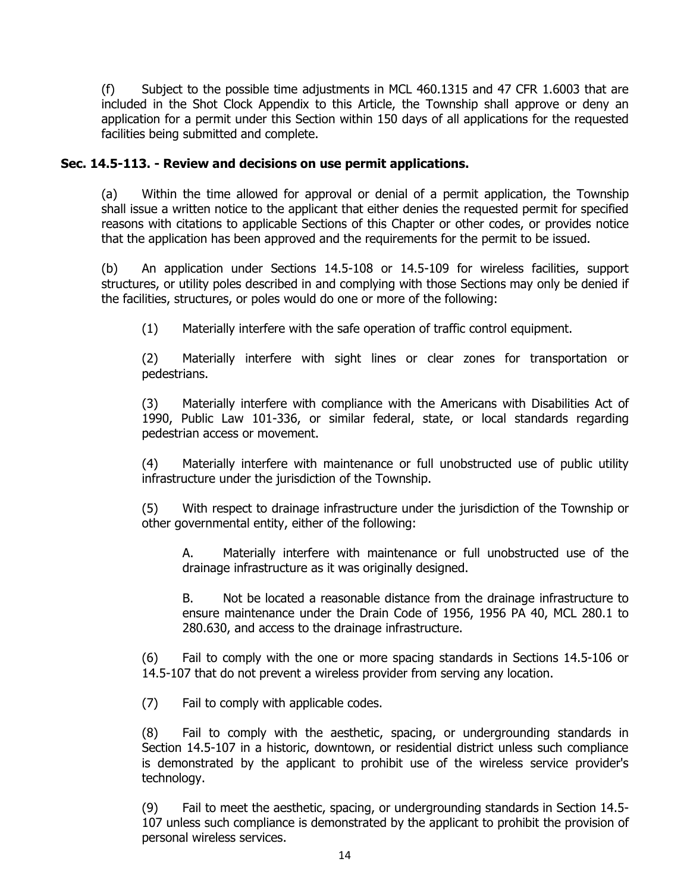(f) Subject to the possible time adjustments in MCL 460.1315 and 47 CFR 1.6003 that are included in the Shot Clock Appendix to this Article, the Township shall approve or deny an application for a permit under this Section within 150 days of all applications for the requested facilities being submitted and complete.

# **Sec. 14.5-113. - Review and decisions on use permit applications.**

(a) Within the time allowed for approval or denial of a permit application, the Township shall issue a written notice to the applicant that either denies the requested permit for specified reasons with citations to applicable Sections of this Chapter or other codes, or provides notice that the application has been approved and the requirements for the permit to be issued.

(b) An application under Sections 14.5-108 or 14.5-109 for wireless facilities, support structures, or utility poles described in and complying with those Sections may only be denied if the facilities, structures, or poles would do one or more of the following:

(1) Materially interfere with the safe operation of traffic control equipment.

(2) Materially interfere with sight lines or clear zones for transportation or pedestrians.

(3) Materially interfere with compliance with the Americans with Disabilities Act of 1990, Public Law 101-336, or similar federal, state, or local standards regarding pedestrian access or movement.

(4) Materially interfere with maintenance or full unobstructed use of public utility infrastructure under the jurisdiction of the Township.

(5) With respect to drainage infrastructure under the jurisdiction of the Township or other governmental entity, either of the following:

A. Materially interfere with maintenance or full unobstructed use of the drainage infrastructure as it was originally designed.

B. Not be located a reasonable distance from the drainage infrastructure to ensure maintenance under the Drain Code of 1956, 1956 PA 40, MCL 280.1 to 280.630, and access to the drainage infrastructure.

(6) Fail to comply with the one or more spacing standards in Sections 14.5-106 or 14.5-107 that do not prevent a wireless provider from serving any location.

(7) Fail to comply with applicable codes.

(8) Fail to comply with the aesthetic, spacing, or undergrounding standards in Section 14.5-107 in a historic, downtown, or residential district unless such compliance is demonstrated by the applicant to prohibit use of the wireless service provider's technology.

(9) Fail to meet the aesthetic, spacing, or undergrounding standards in Section 14.5- 107 unless such compliance is demonstrated by the applicant to prohibit the provision of personal wireless services.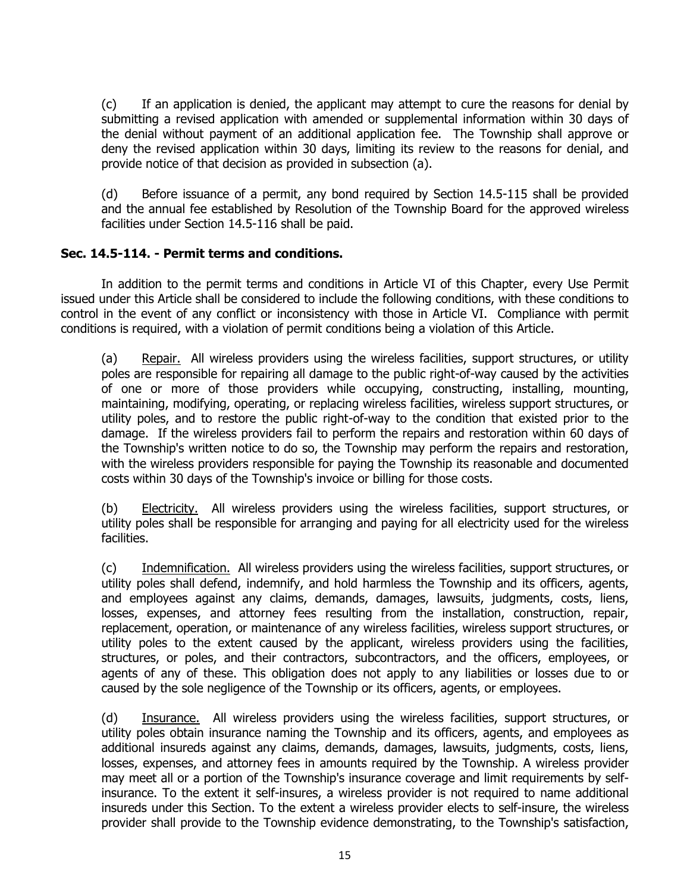(c) If an application is denied, the applicant may attempt to cure the reasons for denial by submitting a revised application with amended or supplemental information within 30 days of the denial without payment of an additional application fee. The Township shall approve or deny the revised application within 30 days, limiting its review to the reasons for denial, and provide notice of that decision as provided in subsection (a).

(d) Before issuance of a permit, any bond required by Section 14.5-115 shall be provided and the annual fee established by Resolution of the Township Board for the approved wireless facilities under Section 14.5-116 shall be paid.

## **Sec. 14.5-114. - Permit terms and conditions.**

In addition to the permit terms and conditions in Article VI of this Chapter, every Use Permit issued under this Article shall be considered to include the following conditions, with these conditions to control in the event of any conflict or inconsistency with those in Article VI. Compliance with permit conditions is required, with a violation of permit conditions being a violation of this Article.

(a) Repair. All wireless providers using the wireless facilities, support structures, or utility poles are responsible for repairing all damage to the public right-of-way caused by the activities of one or more of those providers while occupying, constructing, installing, mounting, maintaining, modifying, operating, or replacing wireless facilities, wireless support structures, or utility poles, and to restore the public right-of-way to the condition that existed prior to the damage. If the wireless providers fail to perform the repairs and restoration within 60 days of the Township's written notice to do so, the Township may perform the repairs and restoration, with the wireless providers responsible for paying the Township its reasonable and documented costs within 30 days of the Township's invoice or billing for those costs.

(b) Electricity. All wireless providers using the wireless facilities, support structures, or utility poles shall be responsible for arranging and paying for all electricity used for the wireless facilities.

(c) Indemnification. All wireless providers using the wireless facilities, support structures, or utility poles shall defend, indemnify, and hold harmless the Township and its officers, agents, and employees against any claims, demands, damages, lawsuits, judgments, costs, liens, losses, expenses, and attorney fees resulting from the installation, construction, repair, replacement, operation, or maintenance of any wireless facilities, wireless support structures, or utility poles to the extent caused by the applicant, wireless providers using the facilities, structures, or poles, and their contractors, subcontractors, and the officers, employees, or agents of any of these. This obligation does not apply to any liabilities or losses due to or caused by the sole negligence of the Township or its officers, agents, or employees.

(d) Insurance. All wireless providers using the wireless facilities, support structures, or utility poles obtain insurance naming the Township and its officers, agents, and employees as additional insureds against any claims, demands, damages, lawsuits, judgments, costs, liens, losses, expenses, and attorney fees in amounts required by the Township. A wireless provider may meet all or a portion of the Township's insurance coverage and limit requirements by selfinsurance. To the extent it self-insures, a wireless provider is not required to name additional insureds under this Section. To the extent a wireless provider elects to self-insure, the wireless provider shall provide to the Township evidence demonstrating, to the Township's satisfaction,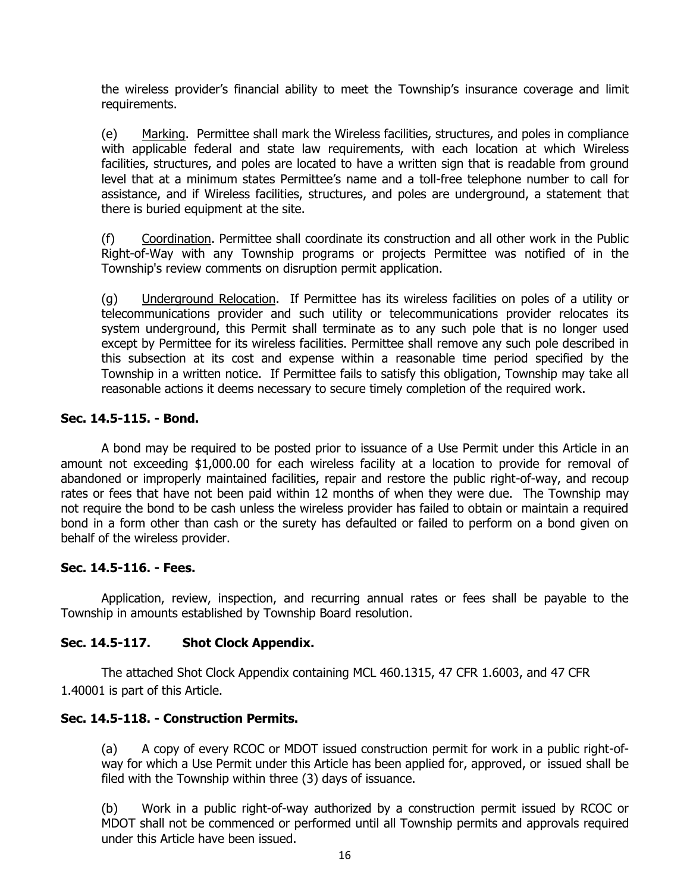the wireless provider's financial ability to meet the Township's insurance coverage and limit requirements.

(e) Marking. Permittee shall mark the Wireless facilities, structures, and poles in compliance with applicable federal and state law requirements, with each location at which Wireless facilities, structures, and poles are located to have a written sign that is readable from ground level that at a minimum states Permittee's name and a toll-free telephone number to call for assistance, and if Wireless facilities, structures, and poles are underground, a statement that there is buried equipment at the site.

(f) Coordination. Permittee shall coordinate its construction and all other work in the Public Right-of-Way with any Township programs or projects Permittee was notified of in the Township's review comments on disruption permit application.

(g) Underground Relocation. If Permittee has its wireless facilities on poles of a utility or telecommunications provider and such utility or telecommunications provider relocates its system underground, this Permit shall terminate as to any such pole that is no longer used except by Permittee for its wireless facilities. Permittee shall remove any such pole described in this subsection at its cost and expense within a reasonable time period specified by the Township in a written notice. If Permittee fails to satisfy this obligation, Township may take all reasonable actions it deems necessary to secure timely completion of the required work.

## **Sec. 14.5-115. - Bond.**

A bond may be required to be posted prior to issuance of a Use Permit under this Article in an amount not exceeding \$1,000.00 for each wireless facility at a location to provide for removal of abandoned or improperly maintained facilities, repair and restore the public right-of-way, and recoup rates or fees that have not been paid within 12 months of when they were due. The Township may not require the bond to be cash unless the wireless provider has failed to obtain or maintain a required bond in a form other than cash or the surety has defaulted or failed to perform on a bond given on behalf of the wireless provider.

### **Sec. 14.5-116. - Fees.**

Application, review, inspection, and recurring annual rates or fees shall be payable to the Township in amounts established by Township Board resolution.

### **Sec. 14.5-117. Shot Clock Appendix.**

The attached Shot Clock Appendix containing MCL 460.1315, 47 CFR 1.6003, and 47 CFR 1.40001 is part of this Article.

### **Sec. 14.5-118. - Construction Permits.**

(a) A copy of every RCOC or MDOT issued construction permit for work in a public right-ofway for which a Use Permit under this Article has been applied for, approved, or issued shall be filed with the Township within three (3) days of issuance.

(b) Work in a public right-of-way authorized by a construction permit issued by RCOC or MDOT shall not be commenced or performed until all Township permits and approvals required under this Article have been issued.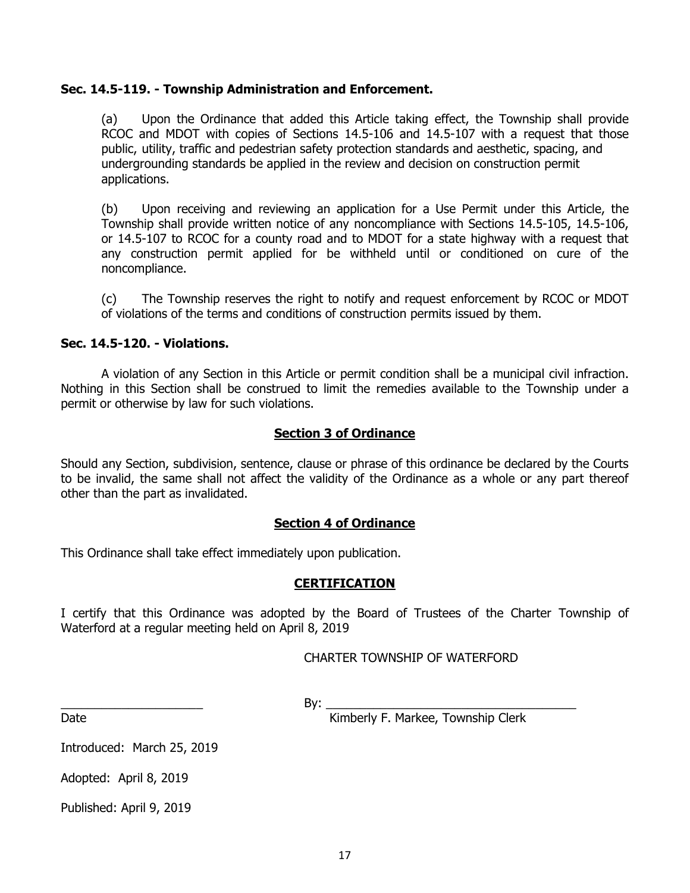#### **Sec. 14.5-119. - Township Administration and Enforcement.**

(a) Upon the Ordinance that added this Article taking effect, the Township shall provide RCOC and MDOT with copies of Sections 14.5-106 and 14.5-107 with a request that those public, utility, traffic and pedestrian safety protection standards and aesthetic, spacing, and undergrounding standards be applied in the review and decision on construction permit applications.

(b) Upon receiving and reviewing an application for a Use Permit under this Article, the Township shall provide written notice of any noncompliance with Sections 14.5-105, 14.5-106, or 14.5-107 to RCOC for a county road and to MDOT for a state highway with a request that any construction permit applied for be withheld until or conditioned on cure of the noncompliance.

(c) The Township reserves the right to notify and request enforcement by RCOC or MDOT of violations of the terms and conditions of construction permits issued by them.

### **Sec. 14.5-120. - Violations.**

A violation of any Section in this Article or permit condition shall be a municipal civil infraction. Nothing in this Section shall be construed to limit the remedies available to the Township under a permit or otherwise by law for such violations.

#### **Section 3 of Ordinance**

Should any Section, subdivision, sentence, clause or phrase of this ordinance be declared by the Courts to be invalid, the same shall not affect the validity of the Ordinance as a whole or any part thereof other than the part as invalidated.

#### **Section 4 of Ordinance**

This Ordinance shall take effect immediately upon publication.

#### **CERTIFICATION**

I certify that this Ordinance was adopted by the Board of Trustees of the Charter Township of Waterford at a regular meeting held on April 8, 2019

CHARTER TOWNSHIP OF WATERFORD

\_\_\_\_\_\_\_\_\_\_\_\_\_\_\_\_\_\_\_\_\_ By: \_\_\_\_\_\_\_\_\_\_\_\_\_\_\_\_\_\_\_\_\_\_\_\_\_\_\_\_\_\_\_\_\_\_\_\_\_

Date **Date Example 20 CONFIDENTIFY F. Markee, Township Clerk** 

Introduced: March 25, 2019

Adopted: April 8, 2019

Published: April 9, 2019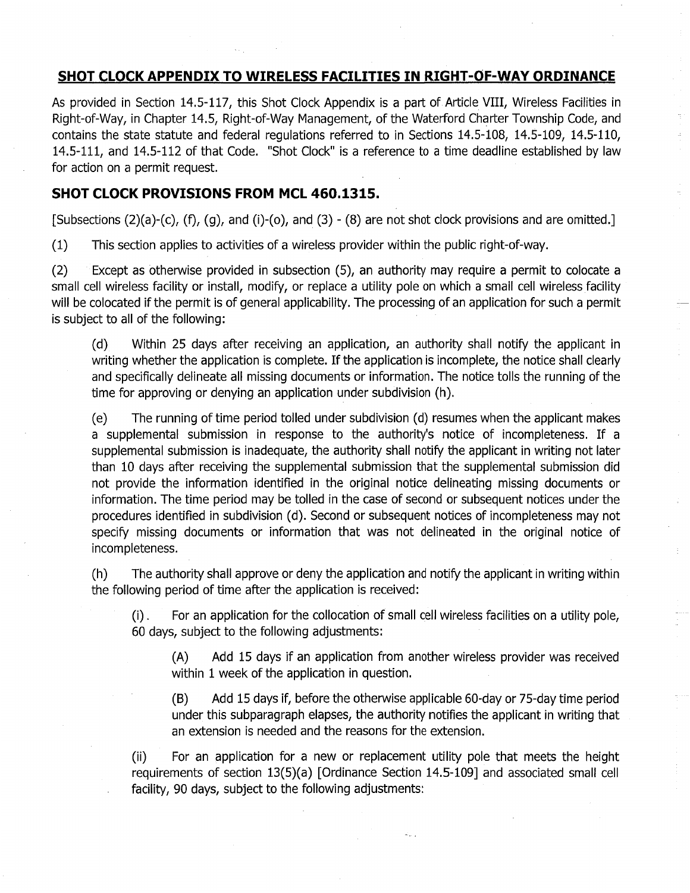# SHOT CLOCK APPENDIX TO WIRELESS FACILITIES IN RIGHT-OF-WAY ORDINANCE

As provided in Section 14.5-117, this Shot Clock Appendix is a part of Article VIII, Wireless Facilities in Right-of-Way, in Chapter 14.5, Right-of-Way Management, of the Waterford Charter Township Code, and contains the state statute and federal regulations referred to in Sections 14.5-108, 14.5-109, 14.5-110, 14.5-111, and 14.5-112 of that Code. "Shot Clock" is a reference to a time deadline established by law for action on a permit request.

## **SHOT CLOCK PROVISIONS FROM MCL 460.1315.**

[Subsections  $(2)(a)-(c)$ ,  $(f)$ ,  $(g)$ , and  $(i)-(o)$ , and  $(3)-(8)$  are not shot clock provisions and are omitted.]

 $(1)$ This section applies to activities of a wireless provider within the public right-of-way.

Except as otherwise provided in subsection (5), an authority may require a permit to colocate a  $(2)$ small cell wireless facility or install, modify, or replace a utility pole on which a small cell wireless facility will be colocated if the permit is of general applicability. The processing of an application for such a permit is subject to all of the following:

 $(d)$ Within 25 days after receiving an application, an authority shall notify the applicant in writing whether the application is complete. If the application is incomplete, the notice shall clearly and specifically delineate all missing documents or information. The notice tolls the running of the time for approving or denying an application under subdivision (h).

The running of time period tolled under subdivision (d) resumes when the applicant makes  $(e)$ a supplemental submission in response to the authority's notice of incompleteness. If a supplemental submission is inadequate, the authority shall notify the applicant in writing not later than 10 days after receiving the supplemental submission that the supplemental submission did not provide the information identified in the original notice delineating missing documents or information. The time period may be tolled in the case of second or subsequent notices under the procedures identified in subdivision (d). Second or subsequent notices of incompleteness may not specify missing documents or information that was not delineated in the original notice of incompleteness.

The authority shall approve or deny the application and notify the applicant in writing within  $(h)$ the following period of time after the application is received:

For an application for the collocation of small cell wireless facilities on a utility pole,  $(i)$ . 60 days, subject to the following adjustments:

 $(A)$ Add 15 days if an application from another wireless provider was received within 1 week of the application in question.

Add 15 days if, before the otherwise applicable 60-day or 75-day time period  $(B)$ under this subparagraph elapses, the authority notifies the applicant in writing that an extension is needed and the reasons for the extension.

For an application for a new or replacement utility pole that meets the height  $(ii)$ requirements of section 13(5)(a) [Ordinance Section 14.5-109] and associated small cell facility, 90 days, subject to the following adjustments: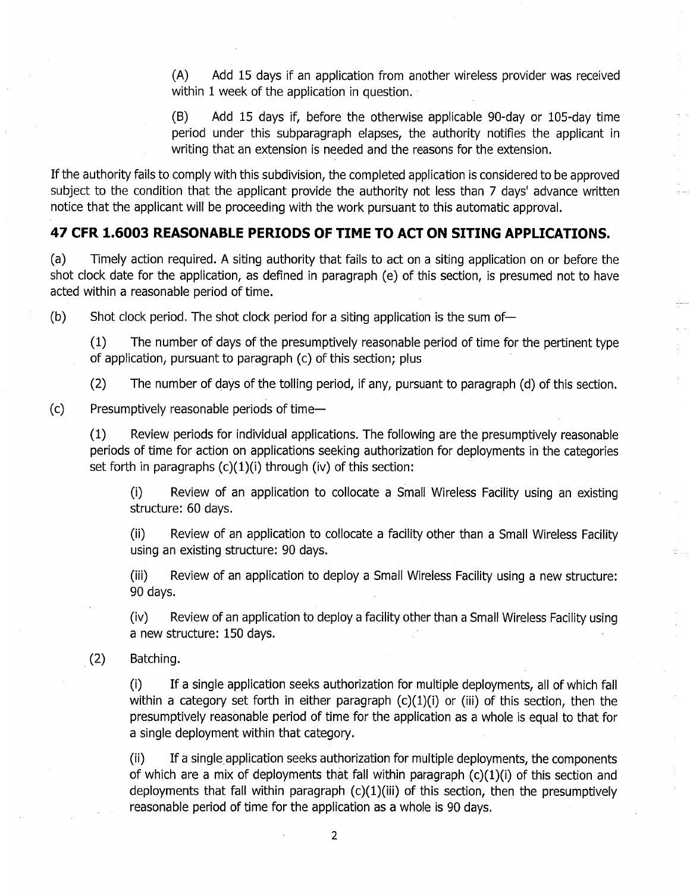$(A)$ Add 15 days if an application from another wireless provider was received within 1 week of the application in question.

 $(B)$ Add 15 days if, before the otherwise applicable 90-day or 105-day time period under this subparagraph elapses, the authority notifies the applicant in writing that an extension is needed and the reasons for the extension.

If the authority fails to comply with this subdivision, the completed application is considered to be approved subject to the condition that the applicant provide the authority not less than 7 days' advance written notice that the applicant will be proceeding with the work pursuant to this automatic approval.

## 47 CFR 1.6003 REASONABLE PERIODS OF TIME TO ACT ON SITING APPLICATIONS.

 $(a)$ Timely action required. A siting authority that fails to act on a siting application on or before the shot clock date for the application, as defined in paragraph (e) of this section, is presumed not to have acted within a reasonable period of time.

 $(b)$ Shot clock period. The shot clock period for a siting application is the sum of-

The number of days of the presumptively reasonable period of time for the pertinent type  $(1)$ of application, pursuant to paragraph (c) of this section; plus

The number of days of the tolling period, if any, pursuant to paragraph (d) of this section.  $(2)$ 

 $(c)$ Presumptively reasonable periods of time-

> Review periods for individual applications. The following are the presumptively reasonable  $(1)$ periods of time for action on applications seeking authorization for deployments in the categories set forth in paragraphs  $(c)(1)(i)$  through  $(iv)$  of this section:

Review of an application to collocate a Small Wireless Facility using an existing  $(i)$ structure: 60 days.

 $(ii)$ Review of an application to collocate a facility other than a Small Wireless Facility using an existing structure: 90 days.

 $(iii)$ Review of an application to deploy a Small Wireless Facility using a new structure: 90 days.

 $(iv)$ Review of an application to deploy a facility other than a Small Wireless Facility using a new structure: 150 days.

 $(2)$ Batching.

> If a single application seeks authorization for multiple deployments, all of which fall  $(i)$ within a category set forth in either paragraph  $(c)(1)(i)$  or (iii) of this section, then the presumptively reasonable period of time for the application as a whole is equal to that for a single deployment within that category.

> If a single application seeks authorization for multiple deployments, the components  $(ii)$ of which are a mix of deployments that fall within paragraph (c)(1)(i) of this section and deployments that fall within paragraph (c)(1)(iii) of this section, then the presumptively reasonable period of time for the application as a whole is 90 days.

> > $\overline{2}$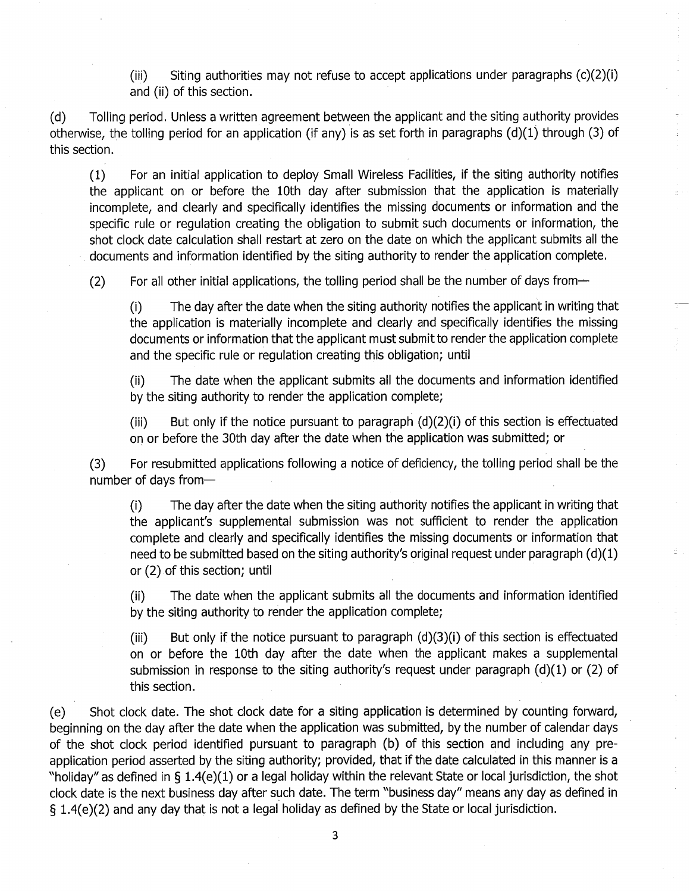$(iii)$ Siting authorities may not refuse to accept applications under paragraphs  $(c)(2)(i)$ and (ii) of this section.

Tolling period. Unless a written agreement between the applicant and the siting authority provides  $(d)$ otherwise, the tolling period for an application (if any) is as set forth in paragraphs  $(d)(1)$  through (3) of this section.

For an initial application to deploy Small Wireless Facilities, if the siting authority notifies  $(1)$ the applicant on or before the 10th day after submission that the application is materially incomplete, and clearly and specifically identifies the missing documents or information and the specific rule or regulation creating the obligation to submit such documents or information, the shot clock date calculation shall restart at zero on the date on which the applicant submits all the documents and information identified by the siting authority to render the application complete.

 $(2)$ For all other initial applications, the tolling period shall be the number of days from-

The day after the date when the siting authority notifies the applicant in writing that  $(i)$ the application is materially incomplete and clearly and specifically identifies the missing documents or information that the applicant must submit to render the application complete and the specific rule or regulation creating this obligation; until

The date when the applicant submits all the documents and information identified  $(ii)$ by the siting authority to render the application complete;

But only if the notice pursuant to paragraph  $(d)(2)(i)$  of this section is effectuated  $(iii)$ on or before the 30th day after the date when the application was submitted; or

For resubmitted applications following a notice of deficiency, the tolling period shall be the  $(3)$ number of days from-

The day after the date when the siting authority notifies the applicant in writing that  $(i)$ the applicant's supplemental submission was not sufficient to render the application complete and clearly and specifically identifies the missing documents or information that need to be submitted based on the siting authority's original request under paragraph (d)(1) or (2) of this section; until

The date when the applicant submits all the documents and information identified  $(ii)$ by the siting authority to render the application complete;

But only if the notice pursuant to paragraph  $(d)(3)(i)$  of this section is effectuated  $(iii)$ on or before the 10th day after the date when the applicant makes a supplemental submission in response to the siting authority's request under paragraph  $(d)(1)$  or  $(2)$  of this section.

Shot clock date. The shot clock date for a siting application is determined by counting forward,  $(e)$ beginning on the day after the date when the application was submitted, by the number of calendar days of the shot clock period identified pursuant to paragraph (b) of this section and including any preapplication period asserted by the siting authority; provided, that if the date calculated in this manner is a "holiday" as defined in § 1.4(e)(1) or a legal holiday within the relevant State or local jurisdiction, the shot clock date is the next business day after such date. The term "business day" means any day as defined in § 1.4(e)(2) and any day that is not a legal holiday as defined by the State or local jurisdiction.

3